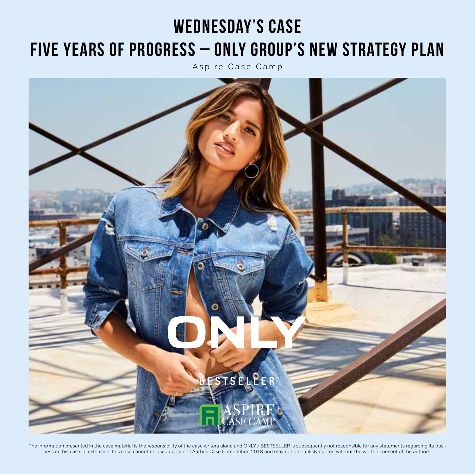# **Wednesday's Case Five Years of Progress – ONLY Group's New Strategy Plan**

Aspire Case Camp



The information presented in the case material is the responsibility of the case writers alone and ONLY / BESTSELLER is subsequently not responsible for any statements regarding its business in this case. In extension, this case cannot be used outside of Aarhus Case Competition 2018 and may not be publicly quoted without the written consent of the authors.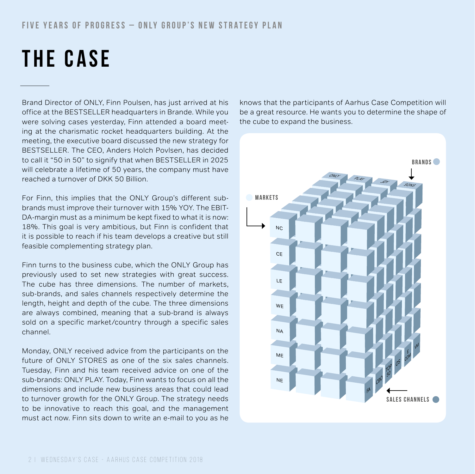### **FIVE YEARS OF PROGRESS – ONLY GROUP'S NEW STRATEGY PLAN**

# **the case**

Brand Director of ONLY, Finn Poulsen, has just arrived at his office at the BESTSELLER headquarters in Brande. While you were solving cases yesterday, Finn attended a board meeting at the charismatic rocket headquarters building. At the meeting, the executive board discussed the new strategy for BESTSELLER. The CEO, Anders Holch Povlsen, has decided to call it "50 in 50" to signify that when BESTSELLER in 2025 will celebrate a lifetime of 50 years, the company must have reached a turnover of DKK 50 Billion.

For Finn, this implies that the ONLY Group's different subbrands must improve their turnover with 15% YOY. The EBIT-DA-margin must as a minimum be kept fixed to what it is now: 18%. This goal is very ambitious, but Finn is confident that it is possible to reach if his team develops a creative but still feasible complementing strategy plan.

Finn turns to the business cube, which the ONLY Group has previously used to set new strategies with great success. The cube has three dimensions. The number of markets, sub-brands, and sales channels respectively determine the length, height and depth of the cube. The three dimensions are always combined, meaning that a sub-brand is always sold on a specific market/country through a specific sales channel.

Monday, ONLY received advice from the participants on the future of ONLY STORES as one of the six sales channels. Tuesday, Finn and his team received advice on one of the sub-brands: ONLY PLAY. Today, Finn wants to focus on all the dimensions and include new business areas that could lead to turnover growth for the ONLY Group. The strategy needs to be innovative to reach this goal, and the management must act now. Finn sits down to write an e-mail to you as he knows that the participants of Aarhus Case Competition will be a great resource. He wants you to determine the shape of the cube to expand the business.

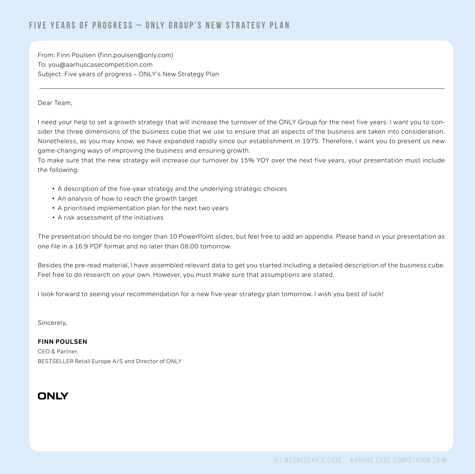From: Finn Poulsen (finn.poulsen@only.com) To: you@aarhuscasecompetition.com Subject: Five years of progress – ONLY's New Strategy Plan

#### Dear Team,

I need your help to set a growth strategy that will increase the turnover of the ONLY Group for the next five years. I want you to consider the three dimensions of the business cube that we use to ensure that all aspects of the business are taken into consideration. Nonetheless, as you may know, we have expanded rapidly since our establishment in 1975. Therefore, I want you to present us new game-changing ways of improving the business and ensuring growth.

To make sure that the new strategy will increase our turnover by 15% YOY over the next five years, your presentation must include the following:

- A description of the five-year strategy and the underlying strategic choices
- An analysis of how to reach the growth target
- A prioritised implementation plan for the next two years
- A risk assessment of the initiatives

The presentation should be no longer than 10 PowerPoint slides, but feel free to add an appendix. Please hand in your presentation as one file in a 16:9 PDF format and no later than 08:00 tomorrow.

Besides the pre-read material, I have assembled relevant data to get you started including a detailed description of the business cube. Feel free to do research on your own. However, you must make sure that assumptions are stated.

I look forward to seeing your recommendation for a new five-year strategy plan tomorrow. I wish you best of luck!

Sincerely,

**FINN POULSEN** CEO & Partner, BESTSELLER Retail Europe A/S and Director of ONLY

## ONLY